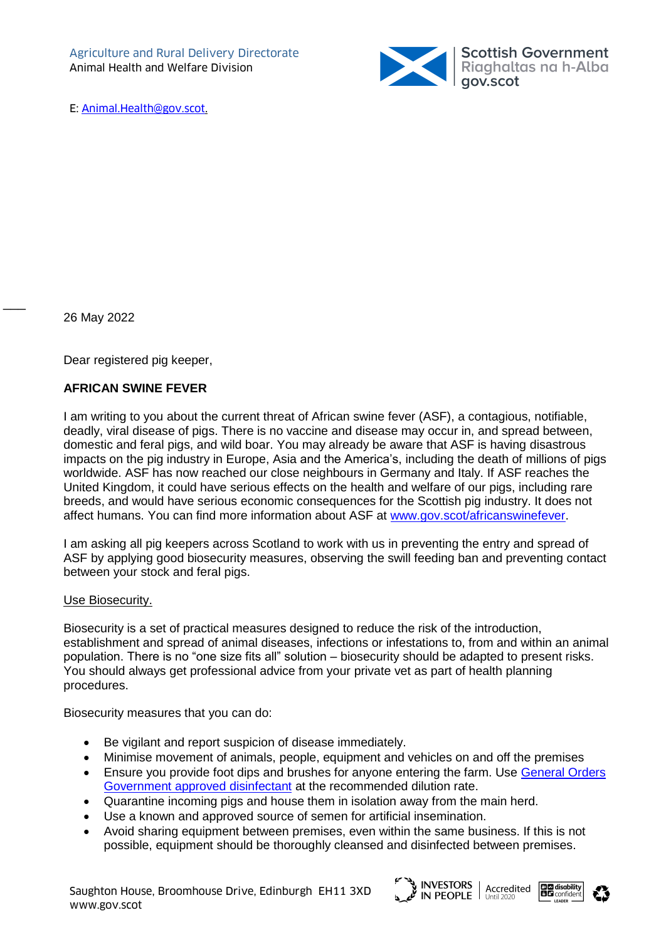

26 May 2022

 $\overline{\phantom{a}}$ 

Dear registered pig keeper,

## **AFRICAN SWINE FEVER**

I am writing to you about the current threat of African swine fever (ASF), a contagious, notifiable, deadly, viral disease of pigs. There is no vaccine and disease may occur in, and spread between, domestic and feral pigs, and wild boar. You may already be aware that ASF is having disastrous impacts on the pig industry in Europe, Asia and the America's, including the death of millions of pigs worldwide. ASF has now reached our close neighbours in Germany and Italy. If ASF reaches the United Kingdom, it could have serious effects on the health and welfare of our pigs, including rare breeds, and would have serious economic consequences for the Scottish pig industry. It does not affect humans. You can find more information about ASF at [www.gov.scot/africanswinefever.](http://www.gov.scot/africanswinefever)

I am asking all pig keepers across Scotland to work with us in preventing the entry and spread of ASF by applying good biosecurity measures, observing the swill feeding ban and preventing contact between your stock and feral pigs.

### Use Biosecurity.

Biosecurity is a set of practical measures designed to reduce the risk of the introduction, establishment and spread of animal diseases, infections or infestations to, from and within an animal population. There is no "one size fits all" solution – biosecurity should be adapted to present risks. You should always get professional advice from your private vet as part of health planning procedures.

Biosecurity measures that you can do:

- Be vigilant and report suspicion of disease immediately.
- Minimise movement of animals, people, equipment and vehicles on and off the premises
- **Ensure you provide foot dips and brushes for anyone entering the farm. Use General Orders** [Government approved disinfectant](http://disinfectants.defra.gov.uk/DisinfectantsExternal/Default.aspx?Module=ApprovalsList_SI) at the recommended dilution rate.
- Quarantine incoming pigs and house them in isolation away from the main herd.
- Use a known and approved source of semen for artificial insemination.
- Avoid sharing equipment between premises, even within the same business. If this is not possible, equipment should be thoroughly cleansed and disinfected between premises.